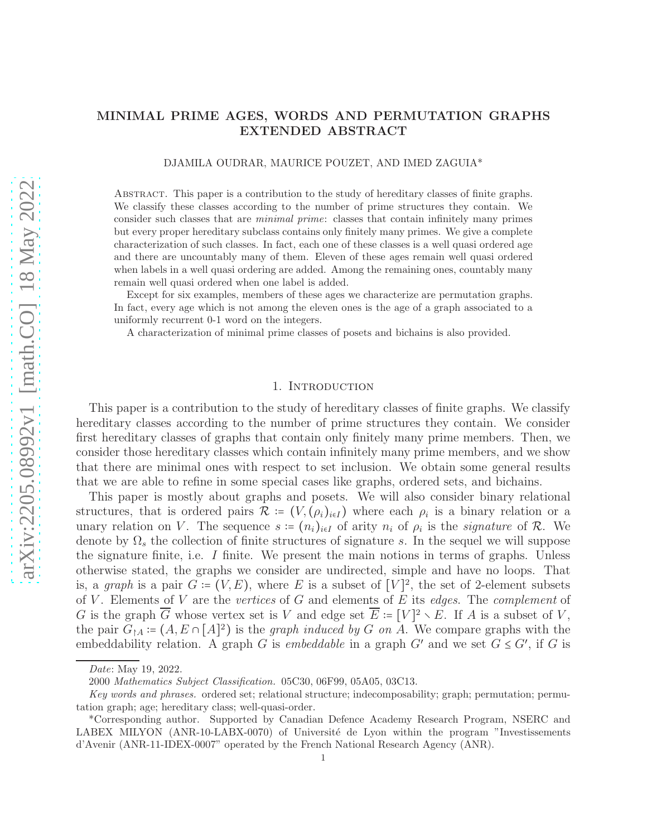# MINIMAL PRIME AGES, WORDS AND PERMUTATION GRAPHS EXTENDED ABSTRACT

### DJAMILA OUDRAR, MAURICE POUZET, AND IMED ZAGUIA\*

Abstract. This paper is a contribution to the study of hereditary classes of finite graphs. We classify these classes according to the number of prime structures they contain. We consider such classes that are *minimal prime*: classes that contain infinitely many primes but every proper hereditary subclass contains only finitely many primes. We give a complete characterization of such classes. In fact, each one of these classes is a well quasi ordered age and there are uncountably many of them. Eleven of these ages remain well quasi ordered when labels in a well quasi ordering are added. Among the remaining ones, countably many remain well quasi ordered when one label is added.

Except for six examples, members of these ages we characterize are permutation graphs. In fact, every age which is not among the eleven ones is the age of a graph associated to a uniformly recurrent 0-1 word on the integers.

A characterization of minimal prime classes of posets and bichains is also provided.

## 1. INTRODUCTION

This paper is a contribution to the study of hereditary classes of finite graphs. We classify hereditary classes according to the number of prime structures they contain. We consider first hereditary classes of graphs that contain only finitely many prime members. Then, we consider those hereditary classes which contain infinitely many prime members, and we show that there are minimal ones with respect to set inclusion. We obtain some general results that we are able to refine in some special cases like graphs, ordered sets, and bichains.

This paper is mostly about graphs and posets. We will also consider binary relational structures, that is ordered pairs  $\mathcal{R} \coloneqq (V, (\rho_i)_{i \in I})$  where each  $\rho_i$  is a binary relation or a unary relation on V. The sequence  $s := (n_i)_{i \in I}$  of arity  $n_i$  of  $\rho_i$  is the *signature* of R. We denote by  $\Omega_s$  the collection of finite structures of signature s. In the sequel we will suppose the signature finite, i.e. I finite. We present the main notions in terms of graphs. Unless otherwise stated, the graphs we consider are undirected, simple and have no loops. That is, a *graph* is a pair  $G = (V, E)$ , where E is a subset of [V]<sup>2</sup>, the set of 2-element subsets of V . Elements of V are the *vertices* of G and elements of E its *edges*. The *complement* of G is the graph  $\overline{G}$  whose vertex set is V and edge set  $\overline{E}$  :=  $[V]^2 \setminus E$ . If A is a subset of V, the pair  $G_{\uparrow A} \coloneqq (A, E \cap [A]^2)$  is the *graph induced by* G *on* A. We compare graphs with the embeddability relation. A graph G is *embeddable* in a graph G' and we set  $G \leq G'$ , if G is

*Date*: May 19, 2022.

<sup>2000</sup> *Mathematics Subject Classification.* 05C30, 06F99, 05A05, 03C13.

*Key words and phrases.* ordered set; relational structure; indecomposability; graph; permutation; permutation graph; age; hereditary class; well-quasi-order.

<sup>\*</sup>Corresponding author. Supported by Canadian Defence Academy Research Program, NSERC and LABEX MILYON (ANR-10-LABX-0070) of Université de Lyon within the program "Investissements d'Avenir (ANR-11-IDEX-0007" operated by the French National Research Agency (ANR).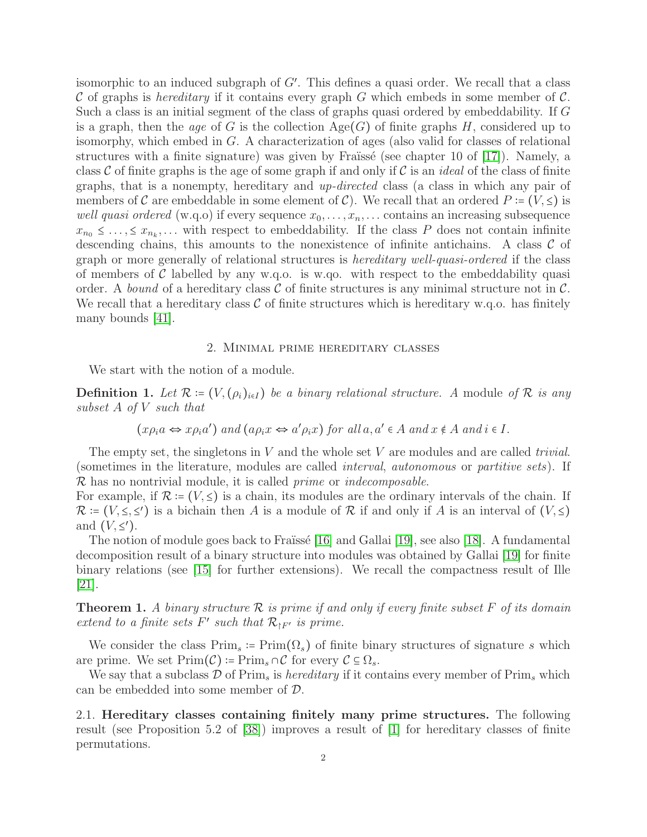isomorphic to an induced subgraph of G′ . This defines a quasi order. We recall that a class C of graphs is *hereditary* if it contains every graph G which embeds in some member of C. Such a class is an initial segment of the class of graphs quasi ordered by embeddability. If G is a graph, then the *age* of G is the collection  $Age(G)$  of finite graphs H, considered up to isomorphy, which embed in G. A characterization of ages (also valid for classes of relational structures with a finite signature) was given by Fraïssé (see chapter 10 of  $[17]$ ). Namely, a class C of finite graphs is the age of some graph if and only if C is an *ideal* of the class of finite graphs, that is a nonempty, hereditary and *up-directed* class (a class in which any pair of members of C are embeddable in some element of C). We recall that an ordered  $P := (V, \leq)$  is *well quasi ordered* (w.q.o) if every sequence  $x_0, \ldots, x_n, \ldots$  contains an increasing subsequence  $x_{n_0} \leq \ldots, \leq x_{n_k}, \ldots$  with respect to embeddability. If the class P does not contain infinite descending chains, this amounts to the nonexistence of infinite antichains. A class  $\mathcal C$  of graph or more generally of relational structures is *hereditary well-quasi-ordered* if the class of members of C labelled by any w.q.o. is w.q. with respect to the embeddability quasi order. A *bound* of a hereditary class  $\mathcal C$  of finite structures is any minimal structure not in  $\mathcal C$ . We recall that a hereditary class  $\mathcal C$  of finite structures which is hereditary w.q.o. has finitely many bounds [\[41\]](#page-12-0).

#### 2. Minimal prime hereditary classes

We start with the notion of a module.

**Definition 1.** Let  $\mathcal{R} = (V, (\rho_i)_{i \in I})$  be a binary relational structure. A module of  $\mathcal{R}$  is any *subset* A *of* V *such that*

$$
(x\rho_i a \Leftrightarrow x\rho_i a')
$$
 and  $(a\rho_i x \Leftrightarrow a'\rho_i x)$  for all  $a, a' \in A$  and  $x \notin A$  and  $i \in I$ .

The empty set, the singletons in V and the whole set V are modules and are called *trivial*. (sometimes in the literature, modules are called *interval*, *autonomous* or *partitive sets*). If R has no nontrivial module, it is called *prime* or *indecomposable*.

For example, if  $\mathcal{R} := (V, \leq)$  is a chain, its modules are the ordinary intervals of the chain. If  $\mathcal{R}$  :=  $(V, \leq, \leq')$  is a bichain then A is a module of R if and only if A is an interval of  $(V, \leq)$ and  $(V,\leq')$ .

The notion of module goes back to Fraïssé [\[16\]](#page-11-1) and Gallai [\[19\]](#page-11-2), see also [\[18\]](#page-11-3). A fundamental decomposition result of a binary structure into modules was obtained by Gallai [\[19\]](#page-11-2) for finite binary relations (see [\[15\]](#page-11-4) for further extensions). We recall the compactness result of Ille  $|21|$ .

<span id="page-1-0"></span>Theorem 1. *A binary structure* R *is prime if and only if every finite subset* F *of its domain extend to a finite sets*  $F'$  *such that*  $\mathcal{R}_{\restriction F'}$  *is prime.* 

We consider the class  $\text{Prim}_{s} := \text{Prim}(\Omega_{s})$  of finite binary structures of signature s which are prime. We set  $\text{Prim}(\mathcal{C}) \coloneqq \text{Prim}_{s} \cap \mathcal{C}$  for every  $\mathcal{C} \subseteq \Omega_{s}$ .

We say that a subclass  $\mathcal D$  of Prim<sub>s</sub> is *hereditary* if it contains every member of Prim<sub>s</sub> which can be embedded into some member of D.

2.1. Hereditary classes containing finitely many prime structures. The following result (see Proposition 5.2 of [\[38\]](#page-12-1)) improves a result of [\[1\]](#page-10-0) for hereditary classes of finite permutations.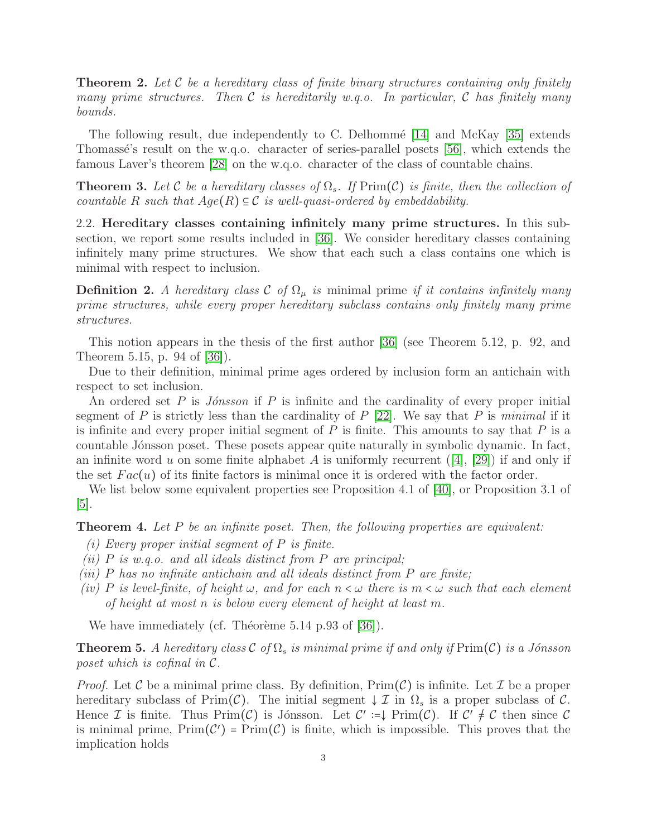<span id="page-2-1"></span>Theorem 2. *Let* C *be a hereditary class of finite binary structures containing only finitely many prime structures. Then* C *is hereditarily w.q.o. In particular,* C *has finitely many bounds.*

The following result, due independently to C. Delhommé  $[14]$  and McKay  $[35]$  extends Thomasse's result on the w.q.o. character of series-parallel posets  $[56]$ , which extends the famous Laver's theorem [\[28\]](#page-11-7) on the w.q.o. character of the class of countable chains.

**Theorem 3.** Let C be a hereditary classes of  $\Omega_s$ . If Prim(C) is finite, then the collection of *countable* R *such that*  $Age(R) \subseteq C$  *is well-quasi-ordered by embeddability.* 

2.2. Hereditary classes containing infinitely many prime structures. In this subsection, we report some results included in [\[36\]](#page-12-4). We consider hereditary classes containing infinitely many prime structures. We show that each such a class contains one which is minimal with respect to inclusion.

**Definition 2.** A hereditary class C of  $\Omega_{\mu}$  is minimal prime *if it contains infinitely many prime structures, while every proper hereditary subclass contains only finitely many prime structures.*

This notion appears in the thesis of the first author [\[36\]](#page-12-4) (see Theorem 5.12, p. 92, and Theorem 5.15, p. 94 of [\[36\]](#page-12-4)).

Due to their definition, minimal prime ages ordered by inclusion form an antichain with respect to set inclusion.

An ordered set P is *J´onsson* if P is infinite and the cardinality of every proper initial segment of P is strictly less than the cardinality of P [\[22\]](#page-11-8). We say that P is *minimal* if it is infinite and every proper initial segment of  $P$  is finite. This amounts to say that  $P$  is a countable Jónsson poset. These posets appear quite naturally in symbolic dynamic. In fact, an infinite word u on some finite alphabet A is uniformly recurrent  $([4], [29])$  $([4], [29])$  $([4], [29])$  $([4], [29])$  $([4], [29])$  if and only if the set  $Fac(u)$  of its finite factors is minimal once it is ordered with the factor order.

We list below some equivalent properties see Proposition 4.1 of [\[40\]](#page-12-5), or Proposition 3.1 of [\[5\]](#page-11-11).

<span id="page-2-0"></span>Theorem 4. *Let* P *be an infinite poset. Then, the following properties are equivalent:*

- *(i) Every proper initial segment of* P *is finite.*
- *(ii)* P *is w.q.o. and all ideals distinct from* P *are principal;*
- *(iii)* P *has no infinite antichain and all ideals distinct from* P *are finite;*
- *(iv)* P is level-finite, of height  $\omega$ , and for each  $n < \omega$  there is  $m < \omega$  such that each element *of height at most* n *is below every element of height at least* m*.*

We have immediately (cf. Théorème  $5.14$  p.93 of [\[36\]](#page-12-4)).

<span id="page-2-2"></span>**Theorem 5.** A hereditary class  $\mathcal{C}$  of  $\Omega_s$  is minimal prime if and only if  $\text{Prim}(\mathcal{C})$  is a Jónsson *poset which is cofinal in* C*.*

*Proof.* Let C be a minimal prime class. By definition,  $Prim(\mathcal{C})$  is infinite. Let T be a proper hereditary subclass of Prim(C). The initial segment  $\downarrow \mathcal{I}$  in  $\Omega_s$  is a proper subclass of C. Hence I is finite. Thus  $\text{Prim}(\mathcal{C})$  is Jónsson. Let  $\mathcal{C}' := \downarrow \text{Prim}(\mathcal{C})$ . If  $\mathcal{C}' \neq \mathcal{C}$  then since  $\mathcal{C}$ is minimal prime,  $Prim(C') = Prim(C)$  is finite, which is impossible. This proves that the implication holds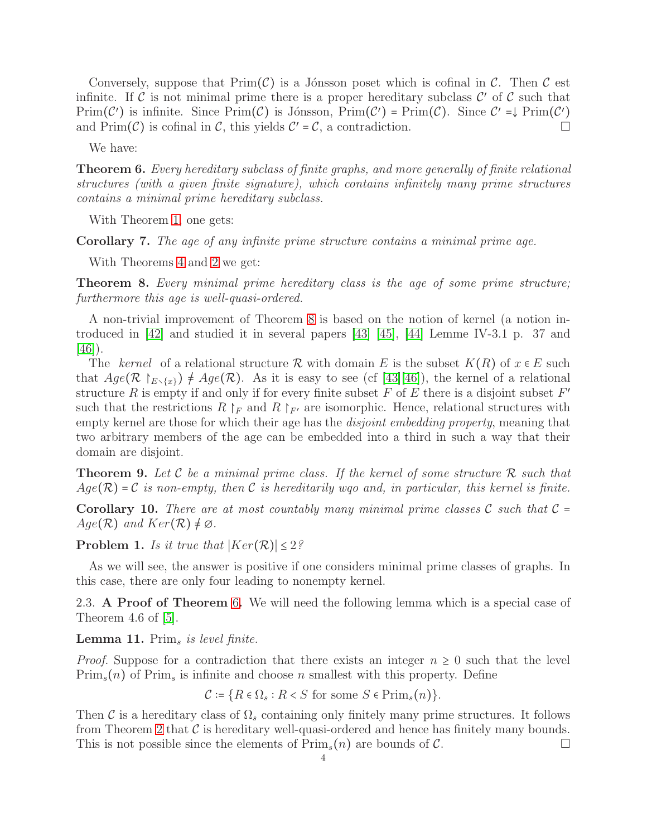Conversely, suppose that  $Prim(\mathcal{C})$  is a Jónsson poset which is cofinal in  $\mathcal{C}$ . Then  $\mathcal{C}$  est infinite. If C is not minimal prime there is a proper hereditary subclass  $\mathcal{C}'$  of C such that  $Prim(\mathcal{C}')$  is infinite. Since  $Prim(\mathcal{C})$  is Jónsson,  $Prim(\mathcal{C}') = Prim(\mathcal{C})$ . Since  $\mathcal{C}' = \downarrow Prim(\mathcal{C}')$ and  $\text{Prim}(\mathcal{C})$  is cofinal in  $\mathcal{C}$ , this yields  $\mathcal{C}' = \mathcal{C}$ , a contradiction.

We have:

<span id="page-3-1"></span>Theorem 6. *Every hereditary subclass of finite graphs, and more generally of finite relational structures (with a given finite signature), which contains infinitely many prime structures contains a minimal prime hereditary subclass.*

With Theorem [1,](#page-1-0) one gets:

Corollary 7. *The age of any infinite prime structure contains a minimal prime age.*

With Theorems [4](#page-2-0) and [2](#page-2-1) we get:

<span id="page-3-0"></span>Theorem 8. *Every minimal prime hereditary class is the age of some prime structure; furthermore this age is well-quasi-ordered.*

A non-trivial improvement of Theorem [8](#page-3-0) is based on the notion of kernel (a notion introduced in [\[42\]](#page-12-6) and studied it in several papers [\[43\]](#page-12-7) [\[45\]](#page-12-8), [\[44\]](#page-12-9) Lemme IV-3.1 p. 37 and [\[46\]](#page-12-10)).

The *kernel* of a relational structure R with domain E is the subset  $K(R)$  of  $x \in E$  such that  $Age(\mathcal{R} \upharpoonright_{E \setminus \{x\}}) \neq Age(\mathcal{R})$ . As it is easy to see (cf [\[43\]](#page-12-7)[\[46\]](#page-12-10)), the kernel of a relational structure R is empty if and only if for every finite subset F of E there is a disjoint subset  $F'$ such that the restrictions  $R \upharpoonright_F$  and  $R \upharpoonright_{F'}$  are isomorphic. Hence, relational structures with empty kernel are those for which their age has the *disjoint embedding property*, meaning that two arbitrary members of the age can be embedded into a third in such a way that their domain are disjoint.

Theorem 9. *Let* C *be a minimal prime class. If the kernel of some structure* R *such that*  $Age(\mathcal{R}) = C$  *is non-empty, then* C *is hereditarily wqo and, in particular, this kernel is finite.* 

**Corollary 10.** There are at most countably many minimal prime classes  $\mathcal{C}$  such that  $\mathcal{C} =$  $Age(\mathcal{R})$  and  $Ker(\mathcal{R}) \neq \emptyset$ .

Problem 1. *Is it true that*  $|Ker(\mathcal{R})| \leq 2$ ?

As we will see, the answer is positive if one considers minimal prime classes of graphs. In this case, there are only four leading to nonempty kernel.

2.3. A Proof of Theorem [6](#page-3-1). We will need the following lemma which is a special case of Theorem 4.6 of  $[5]$ .

<span id="page-3-2"></span>Lemma 11. Prim<sup>s</sup> *is level finite.*

*Proof.* Suppose for a contradiction that there exists an integer  $n \geq 0$  such that the level  $\text{Prim}_{s}(n)$  of  $\text{Prim}_{s}$  is infinite and choose n smallest with this property. Define

 $C = \{R \in \Omega_s : R < S \text{ for some } S \in \text{Prim}_s(n)\}.$ 

Then C is a hereditary class of  $\Omega_s$  containing only finitely many prime structures. It follows from Theorem [2](#page-2-1) that  $\mathcal C$  is hereditary well-quasi-ordered and hence has finitely many bounds. This is not possible since the elements of  $\text{Prim}_{s}(n)$  are bounds of C.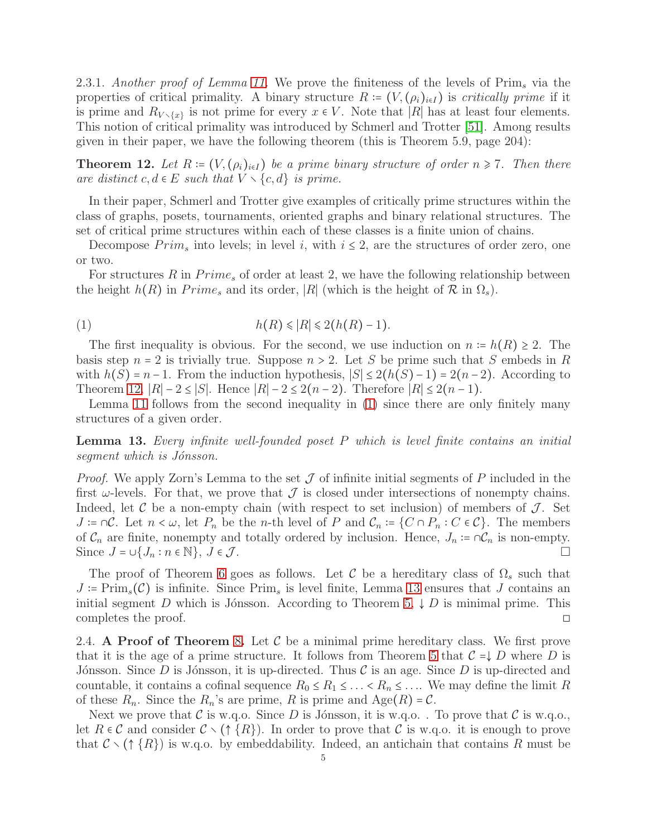2.3.1. *Another proof of Lemma [11.](#page-3-2)* We prove the finiteness of the levels of Prim<sup>s</sup> via the properties of critical primality. A binary structure  $R = (V, (\rho_i)_{i \in I})$  is *critically prime* if it is prime and  $R_{V \setminus \{x\}}$  is not prime for every  $x \in V$ . Note that |R| has at least four elements. This notion of critical primality was introduced by Schmerl and Trotter [\[51\]](#page-12-11). Among results given in their paper, we have the following theorem (this is Theorem 5.9, page 204):

<span id="page-4-0"></span>**Theorem 12.** Let  $R = (V, (\rho_i)_{i \in I})$  be a prime binary structure of order  $n \ge 7$ . Then there *are distinct*  $c, d \in E$  *such that*  $V \setminus \{c, d\}$  *is prime.* 

In their paper, Schmerl and Trotter give examples of critically prime structures within the class of graphs, posets, tournaments, oriented graphs and binary relational structures. The set of critical prime structures within each of these classes is a finite union of chains.

Decompose  $Prim_s$  into levels; in level i, with  $i \leq 2$ , are the structures of order zero, one or two.

For structures R in  $Prime<sub>s</sub>$  of order at least 2, we have the following relationship between the height  $h(R)$  in  $Prime_s$  and its order, |R| (which is the height of  $R$  in  $\Omega_s$ ).

<span id="page-4-1"></span>
$$
(1) \qquad \qquad h(R) \leq R \leq 2(h(R) - 1).
$$

The first inequality is obvious. For the second, we use induction on  $n := h(R) \ge 2$ . The basis step  $n = 2$  is trivially true. Suppose  $n > 2$ . Let S be prime such that S embeds in R with  $h(S) = n-1$ . From the induction hypothesis,  $|S| \leq 2(h(S)-1) = 2(n-2)$ . According to Theorem [12,](#page-4-0)  $|R| - 2 \leq |S|$ . Hence  $|R| - 2 \leq 2(n-2)$ . Therefore  $|R| \leq 2(n-1)$ .

Lemma [11](#page-3-2) follows from the second inequality in [\(1\)](#page-4-1) since there are only finitely many structures of a given order.

<span id="page-4-2"></span>Lemma 13. *Every infinite well-founded poset* P *which is level finite contains an initial segment which is J´onsson.*

*Proof.* We apply Zorn's Lemma to the set  $\mathcal J$  of infinite initial segments of P included in the first  $\omega$ -levels. For that, we prove that  $\mathcal J$  is closed under intersections of nonempty chains. Indeed, let  $\mathcal C$  be a non-empty chain (with respect to set inclusion) of members of  $\mathcal J$ . Set  $J = \cap \mathcal{C}$ . Let  $n < \omega$ , let  $P_n$  be the n-th level of P and  $\mathcal{C}_n := \{C \cap P_n : C \in \mathcal{C}\}$ . The members of  $\mathcal{C}_n$  are finite, nonempty and totally ordered by inclusion. Hence,  $J_n \coloneq \bigcap \mathcal{C}_n$  is non-empty. Since  $J = \bigcup \{J_n : n \in \mathbb{N}\}, J \in \mathcal{J}$ .

The proof of Theorem [6](#page-3-1) goes as follows. Let C be a hereditary class of  $\Omega_s$  such that  $J = \text{Prim}_{s}(\mathcal{C})$  is infinite. Since  $\text{Prim}_{s}$  is level finite, Lemma [13](#page-4-2) ensures that J contains an initial segment D which is Jónsson. According to Theorem [5,](#page-2-2)  $\downarrow$  D is minimal prime. This completes the proof.  $\Box$ 

2.4. A Proof of Theorem [8](#page-3-0). Let  $\mathcal C$  be a minimal prime hereditary class. We first prove that it is the age of a prime structure. It follows from Theorem [5](#page-2-2) that  $C = \downarrow D$  where D is Jónsson. Since D is Jónsson, it is up-directed. Thus C is an age. Since D is up-directed and countable, it contains a cofinal sequence  $R_0 \leq R_1 \leq \ldots \leq R_n \leq \ldots$  We may define the limit R of these  $R_n$ . Since the  $R_n$ 's are prime, R is prime and  $Age(R) = C$ .

Next we prove that C is w.q.o. Since D is Jónsson, it is w.q.o. . To prove that C is w.q.o., let  $R \in \mathcal{C}$  and consider  $\mathcal{C} \setminus (\uparrow \{R\})$ . In order to prove that  $\mathcal{C}$  is w.q.o. it is enough to prove that  $\mathcal{C} \setminus (\uparrow \{R\})$  is w.q.o. by embeddability. Indeed, an antichain that contains R must be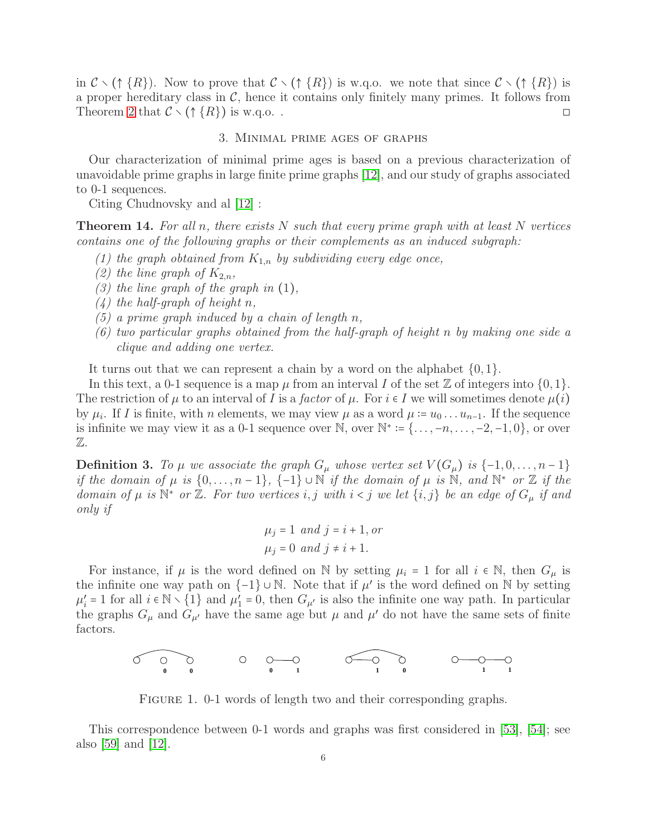in  $\mathcal{C} \setminus (\uparrow \{R\})$ . Now to prove that  $\mathcal{C} \setminus (\uparrow \{R\})$  is w.g.o. we note that since  $\mathcal{C} \setminus (\uparrow \{R\})$  is a proper hereditary class in  $\mathcal{C}$ , hence it contains only finitely many primes. It follows from Theorem [2](#page-2-1) that  $\mathcal{C} \setminus (\uparrow \{R\})$  is w.q.o..

3. Minimal prime ages of graphs

Our characterization of minimal prime ages is based on a previous characterization of unavoidable prime graphs in large finite prime graphs [\[12\]](#page-11-12), and our study of graphs associated to 0-1 sequences.

Citing Chudnovsky and al [\[12\]](#page-11-12) :

<span id="page-5-0"></span>Theorem 14. *For all* n*, there exists* N *such that every prime graph with at least* N *vertices contains one of the following graphs or their complements as an induced subgraph:*

- *(1) the graph obtained from*  $K_{1,n}$  *by subdividing every edge once,*
- (2) the line graph of  $K_{2,n}$ ,
- *(3) the line graph of the graph in* (1)*,*
- *(4) the half-graph of height* n*,*
- *(5) a prime graph induced by a chain of length* n*,*
- *(6) two particular graphs obtained from the half-graph of height* n *by making one side a clique and adding one vertex.*

It turns out that we can represent a chain by a word on the alphabet  $\{0, 1\}$ .

In this text, a 0-1 sequence is a map  $\mu$  from an interval I of the set Z of integers into  $\{0, 1\}$ . The restriction of  $\mu$  to an interval of I is a *factor* of  $\mu$ . For  $i \in I$  we will sometimes denote  $\mu(i)$ by  $\mu_i$ . If I is finite, with n elements, we may view  $\mu$  as a word  $\mu := u_0 \dots u_{n-1}$ . If the sequence is infinite we may view it as a 0-1 sequence over  $\mathbb{N}$ , over  $\mathbb{N}^* := \{ \ldots, -n, \ldots, -2, -1, 0 \}$ , or over Z.

Definition 3. To  $\mu$  we associate the graph  $G_{\mu}$  whose vertex set  $V(G_{\mu})$  is  $\{-1,0,\ldots,n-1\}$ *if the domain of*  $\mu$  *is*  $\{0, \ldots, n-1\}$ ,  $\{-1\} \cup \mathbb{N}$  *if the domain of*  $\mu$  *is*  $\mathbb{N}$ *, and*  $\mathbb{N}^*$  *or*  $\mathbb{Z}$  *if the domain of*  $\mu$  *is*  $\mathbb{N}^*$  *or*  $\mathbb{Z}$ *. For two vertices i, j with*  $i < j$  *we let*  $\{i, j\}$  *be an edge of*  $G_{\mu}$  *if and only if*

$$
\mu_j = 1 \text{ and } j = i + 1, \text{ or}
$$
  

$$
\mu_j = 0 \text{ and } j \neq i + 1.
$$

For instance, if  $\mu$  is the word defined on N by setting  $\mu_i = 1$  for all  $i \in \mathbb{N}$ , then  $G_{\mu}$  is the infinite one way path on  $\{-1\} \cup \mathbb{N}$ . Note that if  $\mu'$  is the word defined on  $\mathbb N$  by setting  $\mu'_i = 1$  for all  $i \in \mathbb{N} \setminus \{1\}$  and  $\mu'_1 = 0$ , then  $G_{\mu'}$  is also the infinite one way path. In particular the graphs  $G_{\mu}$  and  $G_{\mu'}$  have the same age but  $\mu$  and  $\mu'$  do not have the same sets of finite factors.



FIGURE 1. 0-1 words of length two and their corresponding graphs.

This correspondence between 0-1 words and graphs was first considered in [\[53\]](#page-12-12), [\[54\]](#page-12-13); see also [\[59\]](#page-12-14) and [\[12\]](#page-11-12).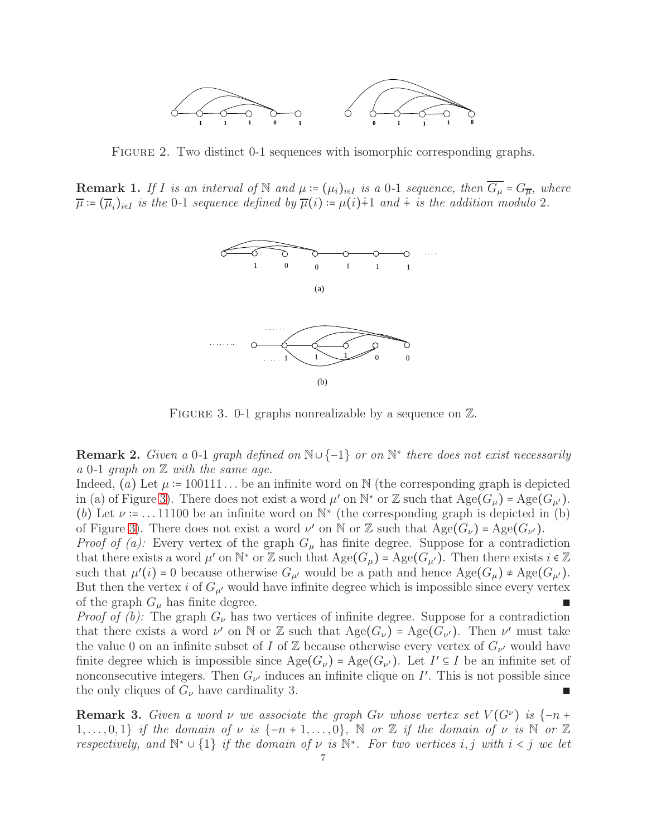

FIGURE 2. Two distinct 0-1 sequences with isomorphic corresponding graphs.

**Remark 1.** *If I is an interval of* N *and*  $\mu := (\mu_i)_{i \in I}$  *is a* 0-1 *sequence, then*  $\overline{G_{\mu}} = G_{\overline{\mu}}$ *, where*  $\overline{\mu} := (\overline{\mu}_i)_{i \in I}$  *is the* 0-1 *sequence defined by*  $\overline{\mu}(i) := \mu(i) + 1$  *and*  $\overline{\mu}$  *is the addition modulo* 2*.* 



<span id="page-6-0"></span>FIGURE 3. 0-1 graphs nonrealizable by a sequence on  $\mathbb{Z}$ .

Remark 2. *Given a* 0*-*1 *graph defined on* N∪{−1} *or on* N<sup>∗</sup> *there does not exist necessarily a* 0*-*1 *graph on* Z *with the same age.*

Indeed, (a) Let  $\mu = 100111...$  be an infinite word on N (the corresponding graph is depicted in (a) of Figure [3\)](#page-6-0). There does not exist a word  $\mu'$  on  $\mathbb{N}^*$  or Z such that  $\text{Age}(G_{\mu}) = \text{Age}(G_{\mu'})$ . (b) Let  $\nu = \dots 11100$  be an infinite word on  $\mathbb{N}^*$  (the corresponding graph is depicted in (b) of Figure [3\)](#page-6-0). There does not exist a word  $\nu'$  on N or Z such that  $\text{Age}(G_{\nu}) = \text{Age}(G_{\nu}).$ 

*Proof of (a):* Every vertex of the graph  $G_{\mu}$  has finite degree. Suppose for a contradiction that there exists a word  $\mu'$  on  $\mathbb{N}^*$  or  $\mathbb{Z}$  such that  $\mathrm{Age}(G_{\mu}) = \mathrm{Age}(G_{\mu'})$ . Then there exists  $i \in \mathbb{Z}$ such that  $\mu'(i) = 0$  because otherwise  $G_{\mu'}$  would be a path and hence  $\text{Age}(G_{\mu}) \neq \text{Age}(G_{\mu'})$ . But then the vertex i of  $G_{\mu'}$  would have infinite degree which is impossible since every vertex of the graph  $G_{\mu}$  has finite degree.  $\blacksquare$ 

*Proof of (b):* The graph  $G_{\nu}$  has two vertices of infinite degree. Suppose for a contradiction that there exists a word  $\nu'$  on N or Z such that  $\text{Age}(G_{\nu}) = \text{Age}(G_{\nu'})$ . Then  $\nu'$  must take the value 0 on an infinite subset of I of Z because otherwise every vertex of  $G_{\nu'}$  would have finite degree which is impossible since  $\text{Age}(G_{\nu}) = \text{Age}(G_{\nu'})$ . Let  $I' \subseteq I$  be an infinite set of nonconsecutive integers. Then  $G_{\nu'}$  induces an infinite clique on I'. This is not possible since the only cliques of  $G_{\nu}$  have cardinality 3.

**Remark 3.** Given a word v we associate the graph Gv whose vertex set  $V(G^{\nu})$  is  $\{-n +$ 1,..., 0, 1} *if the domain of*  $\nu$  *is*  $\{-n+1,\ldots,0\}$ , N *or* Z *if the domain of*  $\nu$  *is* N *or* Z *respectively, and*  $\mathbb{N}^* \cup \{1\}$  *if the domain of*  $\nu$  *is*  $\mathbb{N}^*$ *. For two vertices i, j with*  $i < j$  *we let*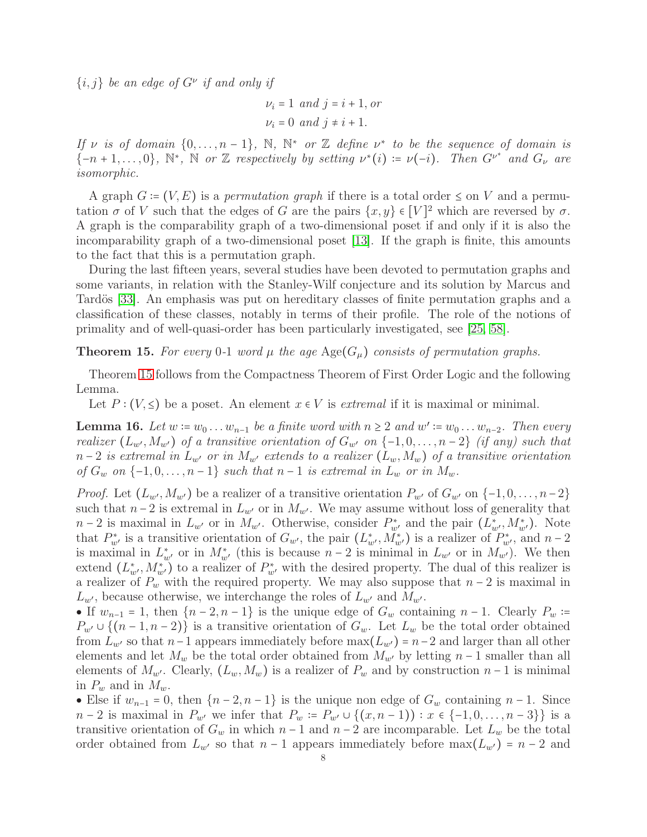$\{i, j\}$  be an edge of  $G^{\nu}$  if and only if

$$
\nu_i = 1 \text{ and } j = i + 1, \text{ or}
$$
  

$$
\nu_i = 0 \text{ and } j \neq i + 1.
$$

*If*  $\nu$  *is of domain*  $\{0, \ldots, n-1\}$ ,  $\mathbb{N}$ ,  $\mathbb{N}^*$  *or*  $\mathbb{Z}$  *define*  $\nu^*$  *to be the sequence of domain is*  $\{-n+1,\ldots,0\}$ ,  $\mathbb{N}^*, \ \mathbb{N}$  *or* Z *respectively by setting*  $\nu^*(i) := \nu(-i)$ *. Then*  $G^{\nu^*}$  *and*  $G_{\nu}$  are *isomorphic.*

A graph  $G = (V, E)$  is a *permutation graph* if there is a total order  $\leq$  on V and a permutation  $\sigma$  of V such that the edges of G are the pairs  $\{x, y\} \in [V]^2$  which are reversed by  $\sigma$ . A graph is the comparability graph of a two-dimensional poset if and only if it is also the incomparability graph of a two-dimensional poset [\[13\]](#page-11-13). If the graph is finite, this amounts to the fact that this is a permutation graph.

During the last fifteen years, several studies have been devoted to permutation graphs and some variants, in relation with the Stanley-Wilf conjecture and its solution by Marcus and Tardös [\[33\]](#page-12-15). An emphasis was put on hereditary classes of finite permutation graphs and a classification of these classes, notably in terms of their profile. The role of the notions of primality and of well-quasi-order has been particularly investigated, see [\[25,](#page-11-14) [58\]](#page-12-16).

<span id="page-7-0"></span>**Theorem 15.** For every 0-1 word  $\mu$  the age  $\text{Age}(G_{\mu})$  consists of permutation graphs.

Theorem [15](#page-7-0) follows from the Compactness Theorem of First Order Logic and the following Lemma.

Let  $P: (V, \leq)$  be a poset. An element  $x \in V$  is *extremal* if it is maximal or minimal.

**Lemma 16.** Let  $w := w_0 \dots w_{n-1}$  be a finite word with  $n \geq 2$  and  $w' := w_0 \dots w_{n-2}$ . Then every *realizer*  $(L_{w'}, M_{w'})$  *of a transitive orientation of*  $G_{w'}$  *on*  $\{-1, 0, \ldots, n-2\}$  *(if any) such that*  $n-2$  *is extremal in*  $L_{w'}$  *or in*  $M_{w'}$  *extends to a realizer*  $(L_w, M_w)$  *of a transitive orientation of*  $G_w$  *on*  $\{-1, 0, \ldots, n-1\}$  *such that*  $n-1$  *is extremal in*  $L_w$  *or in*  $M_w$ *.* 

*Proof.* Let  $(L_{w'}, M_{w'})$  be a realizer of a transitive orientation  $P_{w'}$  of  $G_{w'}$  on  $\{-1, 0, \ldots, n-2\}$ such that  $n-2$  is extremal in  $L_{w'}$  or in  $M_{w'}$ . We may assume without loss of generality that  $n-2$  is maximal in  $L_{w'}$  or in  $M_{w'}$ . Otherwise, consider  $P_{w'}^*$  and the pair  $(L_{w'}^*, M_{w'}^*)$ . Note that  $P_{w'}^*$  is a transitive orientation of  $G_{w'}$ , the pair  $(L_{w'}^*, \dot{M}_{w'}^*)$  is a realizer of  $P_{w'}^*$ , and  $n-2$ is maximal in  $L^*_{w'}$  or in  $M^*_{w'}$  (this is because  $n-2$  is minimal in  $L_{w'}$  or in  $M_{w'}$ ). We then extend  $(L^*_{w'}, M^*_{w'})$  to a realizer of  $P^*_{w'}$  with the desired property. The dual of this realizer is a realizer of  $P_w$  with the required property. We may also suppose that  $n-2$  is maximal in  $L_{w'}$ , because otherwise, we interchange the roles of  $L_{w'}$  and  $M_{w'}$ .

• If  $w_{n-1} = 1$ , then  $\{n-2, n-1\}$  is the unique edge of  $G_w$  containing  $n-1$ . Clearly  $P_w :=$  $P_{w'} \cup \{(n-1,n-2)\}\$ is a transitive orientation of  $G_w$ . Let  $L_w$  be the total order obtained from  $L_{w'}$  so that  $n-1$  appears immediately before  $\max(L_{w'}) = n-2$  and larger than all other elements and let  $M_w$  be the total order obtained from  $M_{w'}$  by letting  $n-1$  smaller than all elements of  $M_{w'}$ . Clearly,  $(L_w, M_w)$  is a realizer of  $P_w$  and by construction  $n-1$  is minimal in  $P_w$  and in  $M_w$ .

• Else if  $w_{n-1} = 0$ , then  $\{n-2, n-1\}$  is the unique non edge of  $G_w$  containing  $n-1$ . Since  $n-2$  is maximal in  $P_{w'}$  we infer that  $P_w := P_{w'} \cup \{(x, n-1) : x \in \{-1, 0, \ldots, n-3\}\}\$ is a transitive orientation of  $G_w$  in which  $n-1$  and  $n-2$  are incomparable. Let  $L_w$  be the total order obtained from  $L_{w'}$  so that  $n-1$  appears immediately before  $\max(L_{w'}) = n-2$  and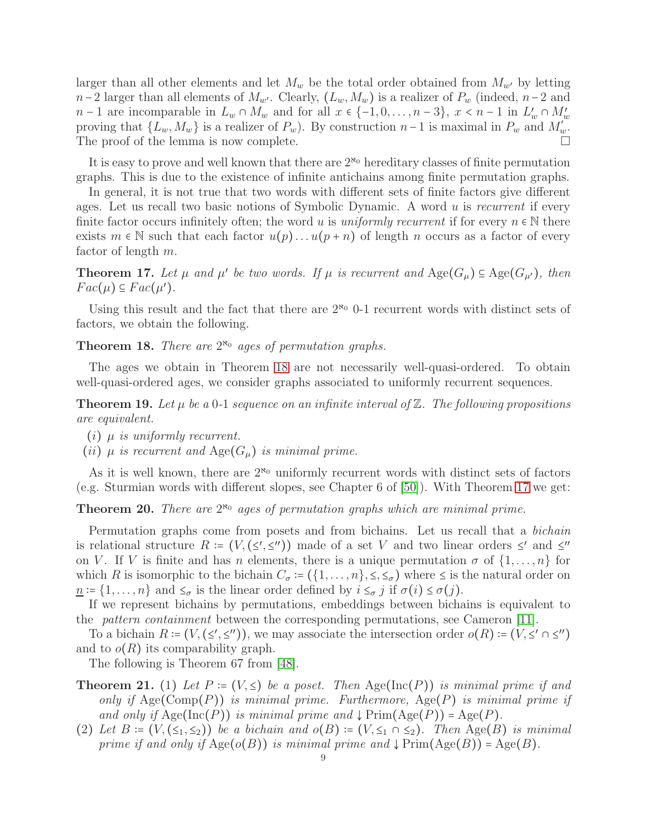larger than all other elements and let  $M_w$  be the total order obtained from  $M_{w'}$  by letting  $n-2$  larger than all elements of  $M_{w'}$ . Clearly,  $(L_w, M_w)$  is a realizer of  $P_w$  (indeed,  $n-2$  and n − 1 are incomparable in  $L_w \cap M_w$  and for all  $x \in \{-1, 0, \ldots, n-3\}, x \le n-1$  in  $L'_w \cap M'_w$ proving that  $\{L_w, M_w\}$  is a realizer of  $P_w$ ). By construction  $n-1$  is maximal in  $P_w$  and  $M_w^{\sigma}$ . The proof of the lemma is now complete.

It is easy to prove and well known that there are  $2^{\aleph_0}$  hereditary classes of finite permutation graphs. This is due to the existence of infinite antichains among finite permutation graphs.

In general, it is not true that two words with different sets of finite factors give different ages. Let us recall two basic notions of Symbolic Dynamic. A word u is *recurrent* if every finite factor occurs infinitely often; the word u is *uniformly recurrent* if for every  $n \in \mathbb{N}$  there exists  $m \in \mathbb{N}$  such that each factor  $u(p) \dots u(p+n)$  of length n occurs as a factor of every factor of length m.

<span id="page-8-1"></span>**Theorem 17.** Let  $\mu$  and  $\mu'$  be two words. If  $\mu$  is recurrent and  $\text{Age}(G_{\mu}) \subseteq \text{Age}(G_{\mu'})$ , then  $Fac(\mu) \subseteq Fac(\mu').$ 

Using this result and the fact that there are  $2^{\kappa_0}$  0-1 recurrent words with distinct sets of factors, we obtain the following.

<span id="page-8-0"></span>**Theorem 18.** *There are*  $2^{\aleph_0}$  *ages of permutation graphs.* 

The ages we obtain in Theorem [18](#page-8-0) are not necessarily well-quasi-ordered. To obtain well-quasi-ordered ages, we consider graphs associated to uniformly recurrent sequences.

<span id="page-8-3"></span>**Theorem 19.** Let  $\mu$  be a 0-1 sequence on an infinite interval of  $\mathbb{Z}$ . The following propositions *are equivalent.*

- (i) µ *is uniformly recurrent.*
- (*ii*)  $\mu$  *is recurrent and*  $Age(G_{\mu})$  *is minimal prime.*

As it is well known, there are  $2^{\aleph_0}$  uniformly recurrent words with distinct sets of factors (e.g. Sturmian words with different slopes, see Chapter 6 of [\[50\]](#page-12-17)). With Theorem [17](#page-8-1) we get:

<span id="page-8-2"></span>Theorem 20. *There are*  $2^{\aleph_0}$  ages of permutation graphs which are minimal prime.

Permutation graphs come from posets and from bichains. Let us recall that a *bichain* is relational structure  $R = (V, (\leq', \leq''))$  made of a set V and two linear orders  $\leq'$  and  $\leq''$ on V. If V is finite and has n elements, there is a unique permutation  $\sigma$  of  $\{1,\ldots,n\}$  for which R is isomorphic to the bichain  $C_{\sigma}$  :=  $(\{1,\ldots,n\},\leq,\leq_{\sigma})$  where  $\leq$  is the natural order on  $n := \{1, \ldots, n\}$  and  $\leq_{\sigma}$  is the linear order defined by  $i \leq_{\sigma} j$  if  $\sigma(i) \leq \sigma(j)$ .

If we represent bichains by permutations, embeddings between bichains is equivalent to the *pattern containment* between the corresponding permutations, see Cameron [\[11\]](#page-11-15).

To a bichain  $R = (V, (\leq', \leq''))$ , we may associate the intersection order  $o(R) = (V, \leq' \cap \leq'')$ and to  $o(R)$  its comparability graph.

The following is Theorem 67 from [48].

- **Theorem 21.** (1) Let  $P = (V, \leq)$  be a poset. Then Age(Inc(P)) is minimal prime if and *only if* Age(Comp(P)) *is minimal prime. Furthermore,* Age(P) *is minimal prime if and only if*  $Age(Inc(P))$  *is minimal prime and*  $\downarrow$   $Prime(Age(P)) = Age(P)$ *.*
- (2) *Let*  $B = (V, (\leq_1, \leq_2))$  *be a bichain and*  $o(B) = (V, \leq_1 \cap \leq_2)$ *. Then* Age(B) *is minimal prime if and only if*  $Age(o(B))$  *is minimal prime and*  $\downarrow$   $Prime(Age(B)) = Age(B)$ *.*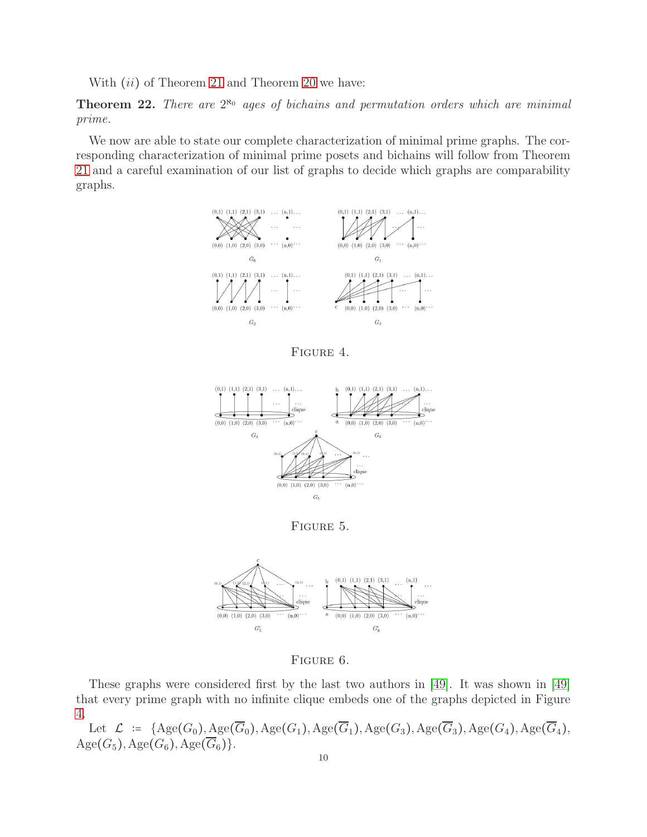With  $(ii)$  of Theorem 21 and Theorem [20](#page-8-2) we have:

**Theorem 22.** There are  $2^{\aleph_0}$  ages of bichains and permutation orders which are minimal *prime.*

We now are able to state our complete characterization of minimal prime graphs. The corresponding characterization of minimal prime posets and bichains will follow from Theorem 21 and a careful examination of our list of graphs to decide which graphs are comparability graphs.



<span id="page-9-0"></span>Figure 4.



<span id="page-9-1"></span>Figure 5.



<span id="page-9-2"></span>Figure 6.

These graphs were considered first by the last two authors in [\[49\]](#page-12-18). It was shown in [\[49\]](#page-12-18) that every prime graph with no infinite clique embeds one of the graphs depicted in Figure [4.](#page-9-0)

Let  $\mathcal{L}$  :=  $\{Age(G_0), Age(\overline{G}_0),Age(G_1),Age(\overline{G}_1),Age(G_3), Age(\overline{G}_3), Age(G_4), Age(\overline{G}_4),$  $Age(G_5), Age(G_6),Age(\overline{G}_6)\}.$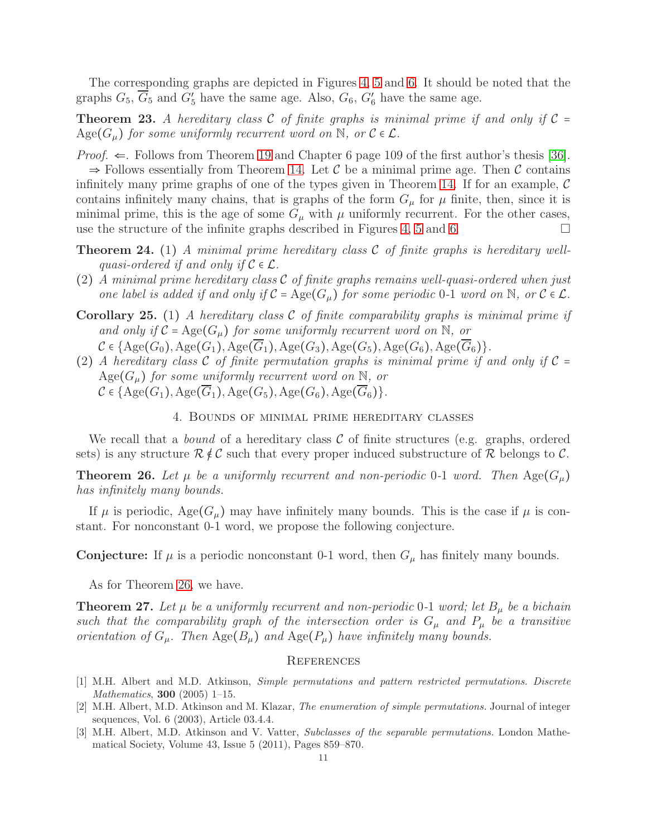The corresponding graphs are depicted in Figures [4,](#page-9-0) [5](#page-9-1) and [6.](#page-9-2) It should be noted that the graphs  $G_5$ ,  $\overline{G}_5$  and  $G'_5$  have the same age. Also,  $G_6$ ,  $G'_6$  have the same age.

**Theorem 23.** A hereditary class C of finite graphs is minimal prime if and only if  $C =$  $Age(G_{\mu})$  *for some uniformly recurrent word on* N, or  $C \in \mathcal{L}$ .

*Proof.*  $\Leftarrow$ . Follows from Theorem [19](#page-8-3) and Chapter 6 page 109 of the first author's thesis [\[36\]](#page-12-4).  $\Rightarrow$  Follows essentially from Theorem [14.](#page-5-0) Let C be a minimal prime age. Then C contains infinitely many prime graphs of one of the types given in Theorem [14.](#page-5-0) If for an example,  $\mathcal C$ contains infinitely many chains, that is graphs of the form  $G_{\mu}$  for  $\mu$  finite, then, since it is minimal prime, this is the age of some  $G_{\mu}$  with  $\mu$  uniformly recurrent. For the other cases, use the structure of the infinite graphs described in Figures [4,](#page-9-0) [5](#page-9-1) and [6.](#page-9-2)

- Theorem 24. (1) *A minimal prime hereditary class* C *of finite graphs is hereditary wellquasi-ordered if and only if*  $C \in \mathcal{L}$ .
- (2) *A minimal prime hereditary class* C *of finite graphs remains well-quasi-ordered when just one label is added if and only if*  $C = \text{Age}(G_u)$  *for some periodic* 0-1 *word on* N, *or*  $C \in \mathcal{L}$ *.*
- Corollary 25. (1) *A hereditary class* C *of finite comparability graphs is minimal prime if* and only if  $C = \text{Age}(G_\mu)$  for some uniformly recurrent word on N, or  $C \in \{Age(G_0), Age(G_1),Age(\overline{G}_1),Age(G_3),Age(G_5),Age(G_6),Age(\overline{G}_6)\}.$
- (2) *A hereditary class*  $C$  *of finite permutation graphs is minimal prime if and only if*  $C =$  $Age(G_{\mu})$  *for some uniformly recurrent word on*  $\overline{N}$ *, or*

$$
\mathcal{C} \in \{\operatorname{Age}(G_1), \operatorname{Age}(G_1), \operatorname{Age}(G_5), \operatorname{Age}(G_6), \operatorname{Age}(G_6)\}.
$$

4. Bounds of minimal prime hereditary classes

We recall that a *bound* of a hereditary class  $\mathcal C$  of finite structures (e.g. graphs, ordered sets) is any structure  $\mathcal{R} \notin \mathcal{C}$  such that every proper induced substructure of R belongs to C.

<span id="page-10-1"></span>**Theorem 26.** Let  $\mu$  be a uniformly recurrent and non-periodic 0-1 word. Then Age( $G_{\mu}$ ) *has infinitely many bounds.*

If  $\mu$  is periodic, Age( $G_{\mu}$ ) may have infinitely many bounds. This is the case if  $\mu$  is constant. For nonconstant 0-1 word, we propose the following conjecture.

**Conjecture:** If  $\mu$  is a periodic nonconstant 0-1 word, then  $G_{\mu}$  has finitely many bounds.

As for Theorem [26,](#page-10-1) we have.

**Theorem 27.** Let  $\mu$  be a uniformly recurrent and non-periodic 0-1 word; let  $B_{\mu}$  be a bichain *such that the comparability graph of the intersection order is*  $G_{\mu}$  *and*  $P_{\mu}$  *be a transitive orientation of*  $G_{\mu}$ . Then  $\text{Age}(B_{\mu})$  *and*  $\text{Age}(P_{\mu})$  *have infinitely many bounds.* 

### **REFERENCES**

- <span id="page-10-0"></span>[1] M.H. Albert and M.D. Atkinson, *Simple permutations and pattern restricted permutations. Discrete Mathematics*, 300 (2005) 1–15.
- [2] M.H. Albert, M.D. Atkinson and M. Klazar, *The enumeration of simple permutations.* Journal of integer sequences, Vol. 6 (2003), Article 03.4.4.
- [3] M.H. Albert, M.D. Atkinson and V. Vatter, *Subclasses of the separable permutations.* London Mathematical Society, Volume 43, Issue 5 (2011), Pages 859–870.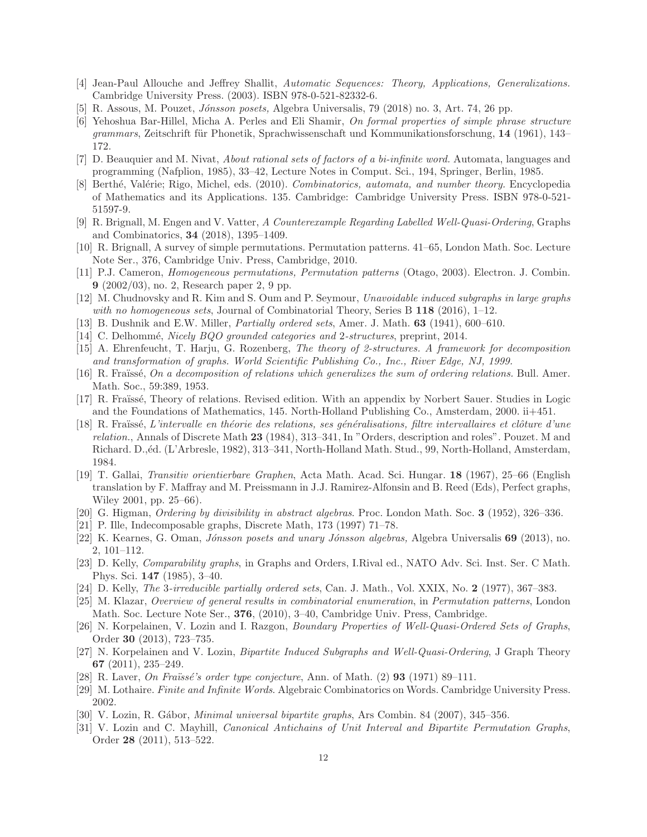- <span id="page-11-11"></span><span id="page-11-9"></span>[4] Jean-Paul Allouche and Jeffrey Shallit, *Automatic Sequences: Theory, Applications, Generalizations.* Cambridge University Press. (2003). ISBN 978-0-521-82332-6.
- [5] R. Assous, M. Pouzet, *J´onsson posets,* Algebra Universalis, 79 (2018) no. 3, Art. 74, 26 pp.
- [6] Yehoshua Bar-Hillel, Micha A. Perles and Eli Shamir, *On formal properties of simple phrase structure* grammars, Zeitschrift für Phonetik, Sprachwissenschaft und Kommunikationsforschung, 14 (1961), 143– 172.
- [7] D. Beauquier and M. Nivat, *About rational sets of factors of a bi-infinite word.* Automata, languages and programming (Nafplion, 1985), 33–42, Lecture Notes in Comput. Sci., 194, Springer, Berlin, 1985.
- [8] Berth´e, Val´erie; Rigo, Michel, eds. (2010). *Combinatorics, automata, and number theory.* Encyclopedia of Mathematics and its Applications. 135. Cambridge: Cambridge University Press. ISBN 978-0-521- 51597-9.
- [9] R. Brignall, M. Engen and V. Vatter, *A Counterexample Regarding Labelled Well-Quasi-Ordering*, Graphs and Combinatorics, 34 (2018), 1395–1409.
- <span id="page-11-15"></span>[10] R. Brignall, A survey of simple permutations. Permutation patterns. 41–65, London Math. Soc. Lecture Note Ser., 376, Cambridge Univ. Press, Cambridge, 2010.
- [11] P.J. Cameron, *Homogeneous permutations, Permutation patterns* (Otago, 2003). Electron. J. Combin. 9 (2002/03), no. 2, Research paper 2, 9 pp.
- <span id="page-11-13"></span><span id="page-11-12"></span>[12] M. Chudnovsky and R. Kim and S. Oum and P. Seymour, *Unavoidable induced subgraphs in large graphs with no homogeneous sets*, Journal of Combinatorial Theory, Series B 118 (2016), 1–12.
- <span id="page-11-6"></span>[13] B. Dushnik and E.W. Miller, *Partially ordered sets*, Amer. J. Math. 63 (1941), 600–610.
- <span id="page-11-4"></span>[14] C. Delhomm´e, *Nicely BQO grounded categories and* 2*-structures*, preprint, 2014.
- [15] A. Ehrenfeucht, T. Harju, G. Rozenberg, *The theory of 2-structures. A framework for decomposition and transformation of graphs. World Scientific Publishing Co., Inc., River Edge, NJ, 1999.*
- <span id="page-11-1"></span>[16] R. Fra¨ıss´e, *On a decomposition of relations which generalizes the sum of ordering relations.* Bull. Amer. Math. Soc., 59:389, 1953.
- <span id="page-11-0"></span>[17] R. Fraïssé, Theory of relations. Revised edition. With an appendix by Norbert Sauer. Studies in Logic and the Foundations of Mathematics, 145. North-Holland Publishing Co., Amsterdam, 2000. ii+451.
- <span id="page-11-3"></span>[18] R. Fraïssé, *L'intervalle en théorie des relations, ses généralisations, filtre intervallaires et clôture d'une relation.*, Annals of Discrete Math 23 (1984), 313–341, In "Orders, description and roles". Pouzet. M and Richard. D.,<sup> $\acute{e}d$ </sup>. (L'Arbresle, 1982), 313–341, North-Holland Math. Stud., 99, North-Holland, Amsterdam, 1984.
- <span id="page-11-2"></span>[19] T. Gallai, *Transitiv orientierbare Graphen*, Acta Math. Acad. Sci. Hungar. 18 (1967), 25–66 (English translation by F. Maffray and M. Preissmann in J.J. Ramirez-Alfonsin and B. Reed (Eds), Perfect graphs, Wiley 2001, pp. 25–66).
- <span id="page-11-5"></span>[20] G. Higman, *Ordering by divisibility in abstract algebras*. Proc. London Math. Soc. 3 (1952), 326–336.
- <span id="page-11-8"></span>[21] P. Ille, Indecomposable graphs, Discrete Math, 173 (1997) 71–78.
- [22] K. Kearnes, G. Oman, *J´onsson posets and unary J´onsson algebras,* Algebra Universalis 69 (2013), no. 2, 101–112.
- [23] D. Kelly, *Comparability graphs*, in Graphs and Orders, I.Rival ed., NATO Adv. Sci. Inst. Ser. C Math. Phys. Sci. 147 (1985), 3–40.
- <span id="page-11-14"></span>[24] D. Kelly, *The* 3*-irreducible partially ordered sets*, Can. J. Math., Vol. XXIX, No. 2 (1977), 367–383.
- [25] M. Klazar, *Overview of general results in combinatorial enumeration*, in *Permutation patterns*, London Math. Soc. Lecture Note Ser., **376**, (2010), 3–40, Cambridge Univ. Press, Cambridge.
- [26] N. Korpelainen, V. Lozin and I. Razgon, *Boundary Properties of Well-Quasi-Ordered Sets of Graphs*, Order 30 (2013), 723–735.
- [27] N. Korpelainen and V. Lozin, *Bipartite Induced Subgraphs and Well-Quasi-Ordering*, J Graph Theory 67 (2011), 235–249.
- <span id="page-11-10"></span><span id="page-11-7"></span>[28] R. Laver, *On Fraïssé's order type conjecture*, Ann. of Math. (2) **93** (1971) 89–111.
- [29] M. Lothaire. *Finite and Infinite Words*. Algebraic Combinatorics on Words. Cambridge University Press. 2002.
- [30] V. Lozin, R. G´abor, *Minimal universal bipartite graphs*, Ars Combin. 84 (2007), 345–356.
- [31] V. Lozin and C. Mayhill, *Canonical Antichains of Unit Interval and Bipartite Permutation Graphs*, Order 28 (2011), 513–522.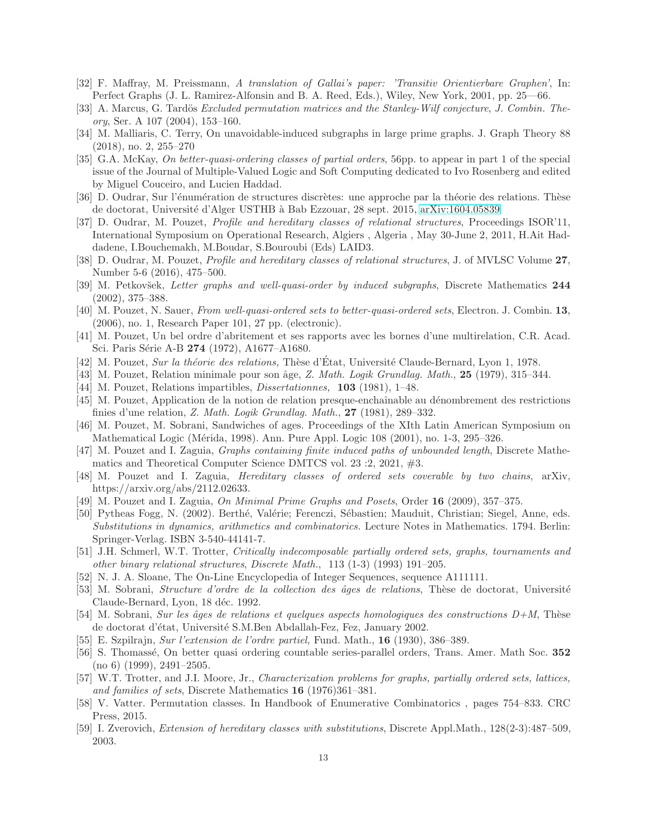- <span id="page-12-15"></span>[32] F. Maffray, M. Preissmann, *A translation of Gallai's paper: 'Transitiv Orientierbare Graphen'*, In: Perfect Graphs (J. L. Ramirez-Alfonsin and B. A. Reed, Eds.), Wiley, New York, 2001, pp. 25—66.
- [33] A. Marcus, G. Tardös *Excluded permutation matrices and the Stanley-Wilf conjecture, J. Combin. Theory*, Ser. A 107 (2004), 153–160.
- [34] M. Malliaris, C. Terry, On unavoidable-induced subgraphs in large prime graphs. J. Graph Theory 88 (2018), no. 2, 255–270
- <span id="page-12-2"></span>[35] G.A. McKay, *On better-quasi-ordering classes of partial orders*, 56pp. to appear in part 1 of the special issue of the Journal of Multiple-Valued Logic and Soft Computing dedicated to Ivo Rosenberg and edited by Miguel Couceiro, and Lucien Haddad.
- <span id="page-12-4"></span>[36] D. Oudrar, Sur l'énumération de structures discrètes: une approche par la théorie des relations. Thèse de doctorat, Université d'Alger USTHB à Bab Ezzouar, 28 sept. 2015, [arXiv:1604.05839.](http://arxiv.org/abs/1604.05839)
- [37] D. Oudrar, M. Pouzet, *Profile and hereditary classes of relational structures*, Proceedings ISOR'11, International Symposium on Operational Research, Algiers , Algeria , May 30-June 2, 2011, H.Ait Haddadene, I.Bouchemakh, M.Boudar, S.Bouroubi (Eds) LAID3.
- <span id="page-12-1"></span>[38] D. Oudrar, M. Pouzet, *Profile and hereditary classes of relational structures*, J. of MVLSC Volume 27, Number 5-6 (2016), 475–500.
- <span id="page-12-5"></span>[39] M. Petkov˘sek, *Letter graphs and well-quasi-order by induced subgraphs*, Discrete Mathematics 244 (2002), 375–388.
- [40] M. Pouzet, N. Sauer, *From well-quasi-ordered sets to better-quasi-ordered sets*, Electron. J. Combin. 13, (2006), no. 1, Research Paper 101, 27 pp. (electronic).
- <span id="page-12-0"></span>[41] M. Pouzet, Un bel ordre d'abritement et ses rapports avec les bornes d'une multirelation, C.R. Acad. Sci. Paris Série A-B 274 (1972), A1677-A1680.
- <span id="page-12-7"></span><span id="page-12-6"></span>[42] M. Pouzet, *Sur la théorie des relations*, Thèse d'État, Université Claude-Bernard, Lyon 1, 1978.
- <span id="page-12-9"></span>[43] M. Pouzet, Relation minimale pour son ˆage, *Z. Math. Logik Grundlag. Math.*, 25 (1979), 315–344.
- <span id="page-12-8"></span>[44] M. Pouzet, Relations impartibles, *Dissertationnes,* 103 (1981), 1–48.
- [45] M. Pouzet, Application de la notion de relation presque-enchaînable au dénombrement des restrictions finies d'une relation, *Z. Math. Logik Grundlag. Math.*, 27 (1981), 289–332.
- <span id="page-12-10"></span>[46] M. Pouzet, M. Sobrani, Sandwiches of ages. Proceedings of the XIth Latin American Symposium on Mathematical Logic (Mérida, 1998). Ann. Pure Appl. Logic 108 (2001), no. 1-3, 295–326.
- [47] M. Pouzet and I. Zaguia, *Graphs containing finite induced paths of unbounded length*, Discrete Mathematics and Theoretical Computer Science DMTCS vol. 23 :2, 2021, #3.
- [48] M. Pouzet and I. Zaguia, *Hereditary classes of ordered sets coverable by two chains*, arXiv, https://arxiv.org/abs/2112.02633.
- <span id="page-12-18"></span><span id="page-12-17"></span>[49] M. Pouzet and I. Zaguia, *On Minimal Prime Graphs and Posets*, Order 16 (2009), 357–375.
- [50] Pytheas Fogg, N. (2002). Berthé, Valérie; Ferenczi, Sébastien; Mauduit, Christian; Siegel, Anne, eds. *Substitutions in dynamics, arithmetics and combinatorics.* Lecture Notes in Mathematics. 1794. Berlin: Springer-Verlag. ISBN 3-540-44141-7.
- <span id="page-12-11"></span>[51] J.H. Schmerl, W.T. Trotter, *Critically indecomposable partially ordered sets, graphs, tournaments and other binary relational structures*, *Discrete Math.*, 113 (1-3) (1993) 191–205.
- <span id="page-12-12"></span>[52] N. J. A. Sloane, The On-Line Encyclopedia of Integer Sequences, sequence A111111.
- [53] M. Sobrani, *Structure d'ordre de la collection des âges de relations*, Thèse de doctorat, Université Claude-Bernard, Lyon, 18 déc. 1992.
- <span id="page-12-13"></span>[54] M. Sobrani, *Sur les âges de relations et quelques aspects homologiques des constructions D+M*, Thèse de doctorat d'état, Université S.M.Ben Abdallah-Fez, Fez, January 2002.
- <span id="page-12-3"></span>[55] E. Szpilrajn, *Sur l'extension de l'ordre partiel,* Fund. Math., 16 (1930), 386–389.
- [56] S. Thomassé, On better quasi ordering countable series-parallel orders, Trans. Amer. Math Soc. 352  $(no 6)$   $(1999)$ ,  $2491-2505$ .
- [57] W.T. Trotter, and J.I. Moore, Jr., *Characterization problems for graphs, partially ordered sets, lattices, and families of sets*, Discrete Mathematics 16 (1976)361–381.
- <span id="page-12-16"></span>[58] V. Vatter. Permutation classes. In Handbook of Enumerative Combinatorics , pages 754–833. CRC Press, 2015.
- <span id="page-12-14"></span>[59] I. Zverovich, *Extension of hereditary classes with substitutions*, Discrete Appl.Math., 128(2-3):487–509, 2003.